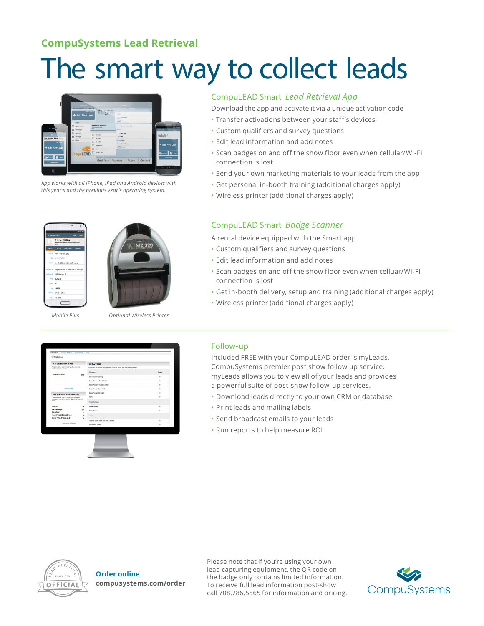## **CompuSystems Lead Retrieval**

# The smart way to collect leads



*App works with all iPhone, iPad and Android devices with this year's and the previous year's operating system.*

### CompuLEAD Smart *Lead Retrieval App*

Download the app and activate it via a unique activation code

- Transfer activations between your staff's devices
- Custom qualifiers and survey questions
- Edit lead information and add notes
- Scan badges on and off the show floor even when cellular/Wi-Fi connection is lost
- Send your own marketing materials to your leads from the app
- Get personal in-booth training (additional charges apply)
- Wireless printer (additional charges apply)





*Mobile Plus Optional Wireless Printer*

## CompuLEAD Smart *Badge Scanner*

A rental device equipped with the Smart app

- Custom qualifiers and survey questions
- Edit lead information and add notes
- Scan badges on and off the show floor even when celluar/Wi-Fi connection is lost
- Get in-booth delivery, setup and training (additional charges apply)
- Wireless printer (additional charges apply)



#### Follow-up

Included FREE with your CompuLEAD order is myLeads, CompuSystems premier post show follow up service. myLeads allows you to view all of your leads and provides a powerful suite of post-show follow-up services.

- Download leads directly to your own CRM or database
- Print leads and mailing labels
- Send broadcast emails to your leads
- Run reports to help measure ROI



**Order online compusystems.com/order** Please note that if you're using your own lead capturing equipment, the QR code on the badge only contains limited information. To receive full lead information post-show call 708.786.5565 for information and pricing.